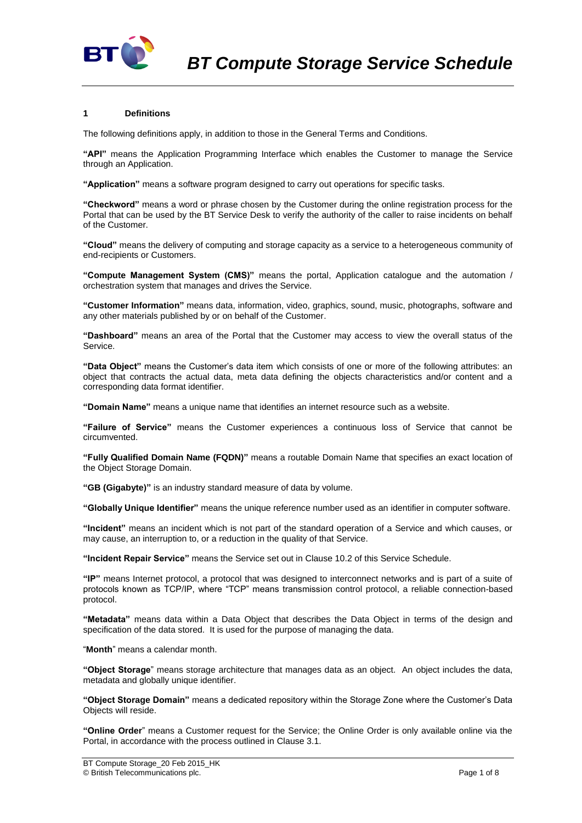

## **1 Definitions**

The following definitions apply, in addition to those in the General Terms and Conditions.

**"API"** means the Application Programming Interface which enables the Customer to manage the Service through an Application.

**"Application"** means a software program designed to carry out operations for specific tasks.

**"Checkword"** means a word or phrase chosen by the Customer during the online registration process for the Portal that can be used by the BT Service Desk to verify the authority of the caller to raise incidents on behalf of the Customer.

**"Cloud"** means the delivery of computing and storage capacity as a service to a heterogeneous community of end-recipients or Customers.

**"Compute Management System (CMS)"** means the portal, Application catalogue and the automation / orchestration system that manages and drives the Service.

**"Customer Information"** means data, information, video, graphics, sound, music, photographs, software and any other materials published by or on behalf of the Customer.

**"Dashboard"** means an area of the Portal that the Customer may access to view the overall status of the Service.

**"Data Object"** means the Customer's data item which consists of one or more of the following attributes: an object that contracts the actual data, meta data defining the objects characteristics and/or content and a corresponding data format identifier.

**"Domain Name"** means a unique name that identifies an internet resource such as a website.

**"Failure of Service"** means the Customer experiences a continuous loss of Service that cannot be circumvented.

**"Fully Qualified Domain Name (FQDN)"** means a routable Domain Name that specifies an exact location of the Object Storage Domain.

**"GB (Gigabyte)"** is an industry standard measure of data by volume.

**"Globally Unique Identifier"** means the unique reference number used as an identifier in computer software.

**"Incident"** means an incident which is not part of the standard operation of a Service and which causes, or may cause, an interruption to, or a reduction in the quality of that Service.

**"Incident Repair Service"** means the Service set out in Clause [10.2](#page-3-0) of this Service Schedule.

**"IP"** means Internet protocol, a protocol that was designed to interconnect networks and is part of a suite of protocols known as TCP/IP, where "TCP" means transmission control protocol, a reliable connection-based protocol.

**"Metadata"** means data within a Data Object that describes the Data Object in terms of the design and specification of the data stored. It is used for the purpose of managing the data.

"**Month**" means a calendar month.

**"Object Storage**" means storage architecture that manages data as an object. An object includes the data, metadata and globally unique identifier.

**"Object Storage Domain"** means a dedicated repository within the Storage Zone where the Customer's Data Objects will reside.

**"Online Order**" means a Customer request for the Service; the Online Order is only available online via the Portal, in accordance with the process outlined in Claus[e 3.1.](#page-1-0)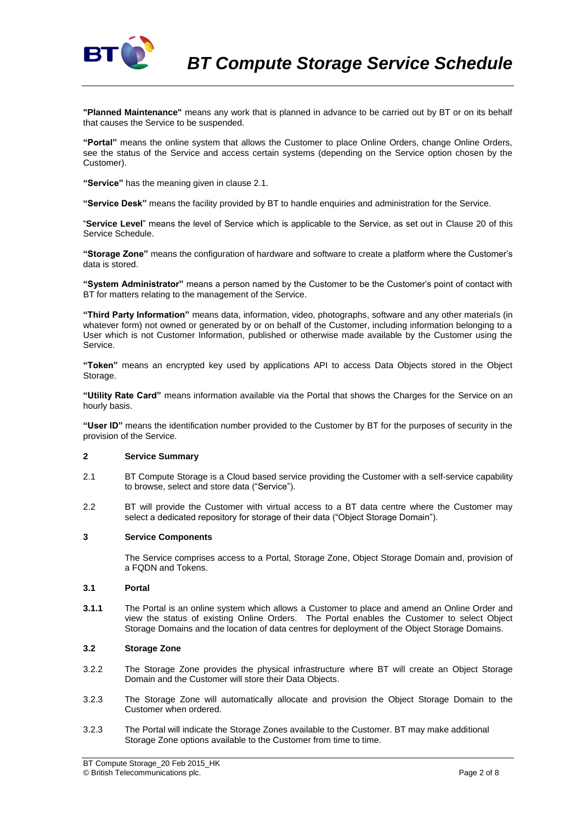

**"Planned Maintenance"** means any work that is planned in advance to be carried out by BT or on its behalf that causes the Service to be suspended.

**"Portal"** means the online system that allows the Customer to place Online Orders, change Online Orders, see the status of the Service and access certain systems (depending on the Service option chosen by the Customer).

**"Service"** has the meaning given in clause 2.1.

**"Service Desk"** means the facility provided by BT to handle enquiries and administration for the Service.

"**Service Level**" means the level of Service which is applicable to the Service, as set out in Clause 20 of this Service Schedule.

**"Storage Zone"** means the configuration of hardware and software to create a platform where the Customer's data is stored.

**"System Administrator"** means a person named by the Customer to be the Customer's point of contact with BT for matters relating to the management of the Service.

**"Third Party Information"** means data, information, video, photographs, software and any other materials (in whatever form) not owned or generated by or on behalf of the Customer, including information belonging to a User which is not Customer Information, published or otherwise made available by the Customer using the Service.

**"Token"** means an encrypted key used by applications API to access Data Objects stored in the Object Storage.

**"Utility Rate Card"** means information available via the Portal that shows the Charges for the Service on an hourly basis.

**"User ID"** means the identification number provided to the Customer by BT for the purposes of security in the provision of the Service.

## **2 Service Summary**

- 2.1 BT Compute Storage is a Cloud based service providing the Customer with a self-service capability to browse, select and store data ("Service").
- 2.2 BT will provide the Customer with virtual access to a BT data centre where the Customer may select a dedicated repository for storage of their data ("Object Storage Domain").

### **3 Service Components**

The Service comprises access to a Portal, Storage Zone, Object Storage Domain and, provision of a FQDN and Tokens.

### <span id="page-1-0"></span>**3.1 Portal**

**3.1.1** The Portal is an online system which allows a Customer to place and amend an Online Order and view the status of existing Online Orders. The Portal enables the Customer to select Object Storage Domains and the location of data centres for deployment of the Object Storage Domains.

### **3.2 Storage Zone**

- 3.2.2 The Storage Zone provides the physical infrastructure where BT will create an Object Storage Domain and the Customer will store their Data Objects.
- 3.2.3 The Storage Zone will automatically allocate and provision the Object Storage Domain to the Customer when ordered.
- 3.2.3 The Portal will indicate the Storage Zones available to the Customer. BT may make additional Storage Zone options available to the Customer from time to time.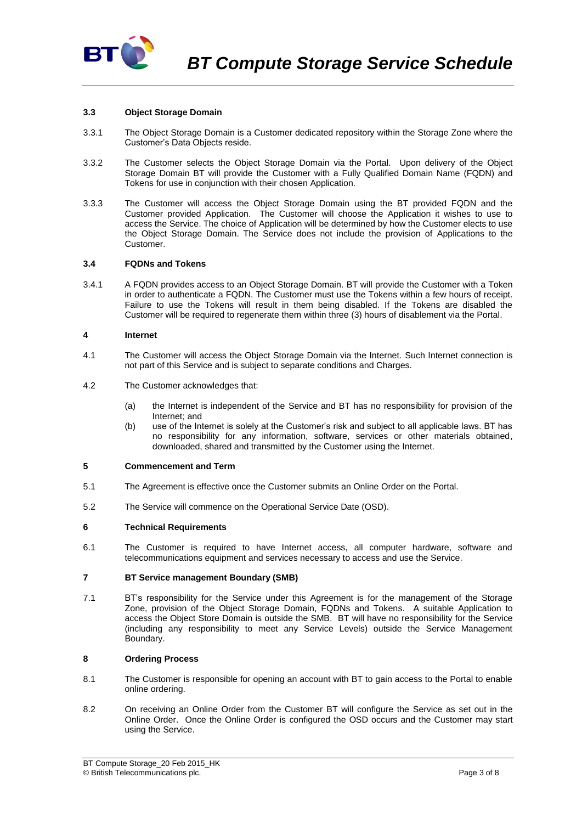

### **3.3 Object Storage Domain**

- 3.3.1 The Object Storage Domain is a Customer dedicated repository within the Storage Zone where the Customer's Data Objects reside.
- 3.3.2 The Customer selects the Object Storage Domain via the Portal. Upon delivery of the Object Storage Domain BT will provide the Customer with a Fully Qualified Domain Name (FQDN) and Tokens for use in conjunction with their chosen Application.
- 3.3.3 The Customer will access the Object Storage Domain using the BT provided FQDN and the Customer provided Application. The Customer will choose the Application it wishes to use to access the Service. The choice of Application will be determined by how the Customer elects to use the Object Storage Domain. The Service does not include the provision of Applications to the Customer.

## **3.4 FQDNs and Tokens**

3.4.1 A FQDN provides access to an Object Storage Domain. BT will provide the Customer with a Token in order to authenticate a FQDN. The Customer must use the Tokens within a few hours of receipt. Failure to use the Tokens will result in them being disabled. If the Tokens are disabled the Customer will be required to regenerate them within three (3) hours of disablement via the Portal.

### **4 Internet**

- 4.1 The Customer will access the Object Storage Domain via the Internet. Such Internet connection is not part of this Service and is subject to separate conditions and Charges.
- 4.2 The Customer acknowledges that:
	- (a) the Internet is independent of the Service and BT has no responsibility for provision of the Internet; and
	- (b) use of the Internet is solely at the Customer's risk and subject to all applicable laws. BT has no responsibility for any information, software, services or other materials obtained, downloaded, shared and transmitted by the Customer using the Internet.

## **5 Commencement and Term**

- 5.1 The Agreement is effective once the Customer submits an Online Order on the Portal.
- 5.2 The Service will commence on the Operational Service Date (OSD).

### **6 Technical Requirements**

6.1 The Customer is required to have Internet access, all computer hardware, software and telecommunications equipment and services necessary to access and use the Service.

### **7 BT Service management Boundary (SMB)**

7.1 BT's responsibility for the Service under this Agreement is for the management of the Storage Zone, provision of the Object Storage Domain, FQDNs and Tokens. A suitable Application to access the Object Store Domain is outside the SMB. BT will have no responsibility for the Service (including any responsibility to meet any Service Levels) outside the Service Management Boundary.

## **8 Ordering Process**

- 8.1 The Customer is responsible for opening an account with BT to gain access to the Portal to enable online ordering.
- 8.2 On receiving an Online Order from the Customer BT will configure the Service as set out in the Online Order. Once the Online Order is configured the OSD occurs and the Customer may start using the Service.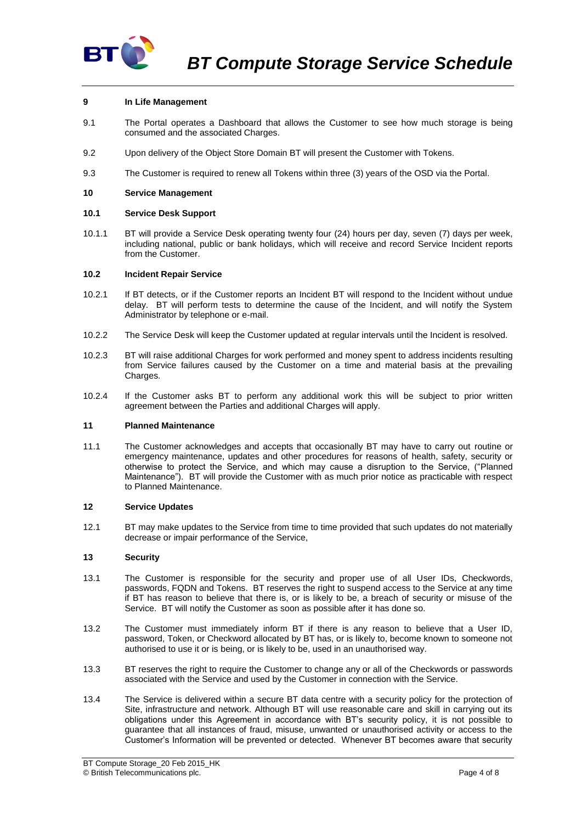

# **9 In Life Management**

- 9.1 The Portal operates a Dashboard that allows the Customer to see how much storage is being consumed and the associated Charges.
- 9.2 Upon delivery of the Object Store Domain BT will present the Customer with Tokens.
- 9.3 The Customer is required to renew all Tokens within three (3) years of the OSD via the Portal.

### **10 Service Management**

### **10.1 Service Desk Support**

10.1.1 BT will provide a Service Desk operating twenty four (24) hours per day, seven (7) days per week, including national, public or bank holidays, which will receive and record Service Incident reports from the Customer.

### <span id="page-3-0"></span>**10.2 Incident Repair Service**

- 10.2.1 If BT detects, or if the Customer reports an Incident BT will respond to the Incident without undue delay. BT will perform tests to determine the cause of the Incident, and will notify the System Administrator by telephone or e-mail.
- 10.2.2 The Service Desk will keep the Customer updated at regular intervals until the Incident is resolved.
- 10.2.3 BT will raise additional Charges for work performed and money spent to address incidents resulting from Service failures caused by the Customer on a time and material basis at the prevailing Charges.
- 10.2.4 If the Customer asks BT to perform any additional work this will be subject to prior written agreement between the Parties and additional Charges will apply.

### **11 Planned Maintenance**

11.1 The Customer acknowledges and accepts that occasionally BT may have to carry out routine or emergency maintenance, updates and other procedures for reasons of health, safety, security or otherwise to protect the Service, and which may cause a disruption to the Service, ("Planned Maintenance"). BT will provide the Customer with as much prior notice as practicable with respect to Planned Maintenance.

### **12 Service Updates**

12.1 BT may make updates to the Service from time to time provided that such updates do not materially decrease or impair performance of the Service,

### **13 Security**

- 13.1 The Customer is responsible for the security and proper use of all User IDs, Checkwords, passwords, FQDN and Tokens. BT reserves the right to suspend access to the Service at any time if BT has reason to believe that there is, or is likely to be, a breach of security or misuse of the Service. BT will notify the Customer as soon as possible after it has done so.
- 13.2 The Customer must immediately inform BT if there is any reason to believe that a User ID, password, Token, or Checkword allocated by BT has, or is likely to, become known to someone not authorised to use it or is being, or is likely to be, used in an unauthorised way.
- 13.3 BT reserves the right to require the Customer to change any or all of the Checkwords or passwords associated with the Service and used by the Customer in connection with the Service.
- 13.4 The Service is delivered within a secure BT data centre with a security policy for the protection of Site, infrastructure and network. Although BT will use reasonable care and skill in carrying out its obligations under this Agreement in accordance with BT's security policy, it is not possible to guarantee that all instances of fraud, misuse, unwanted or unauthorised activity or access to the Customer's Information will be prevented or detected. Whenever BT becomes aware that security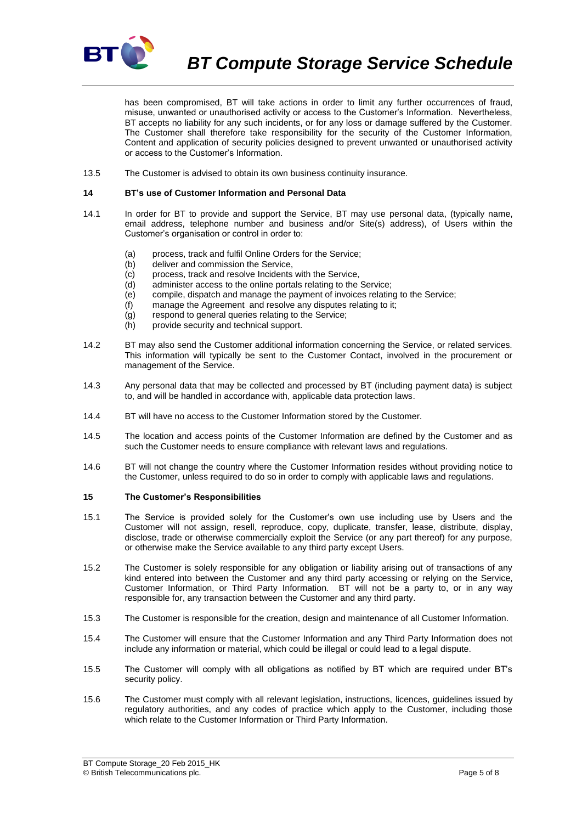

*BT Compute Storage Service Schedule*

has been compromised, BT will take actions in order to limit any further occurrences of fraud, misuse, unwanted or unauthorised activity or access to the Customer's Information. Nevertheless, BT accepts no liability for any such incidents, or for any loss or damage suffered by the Customer. The Customer shall therefore take responsibility for the security of the Customer Information, Content and application of security policies designed to prevent unwanted or unauthorised activity or access to the Customer's Information.

13.5 The Customer is advised to obtain its own business continuity insurance.

#### **14 BT's use of Customer Information and Personal Data**

- 14.1 In order for BT to provide and support the Service, BT may use personal data, (typically name, email address, telephone number and business and/or Site(s) address), of Users within the Customer's organisation or control in order to:
	- (a) process, track and fulfil Online Orders for the Service;
	- (b) deliver and commission the Service,
	- (c) process, track and resolve Incidents with the Service,
	- (d) administer access to the online portals relating to the Service;
	- (e) compile, dispatch and manage the payment of invoices relating to the Service;
	- (f) manage the Agreement and resolve any disputes relating to it;
	- (g) respond to general queries relating to the Service;
	- (h) provide security and technical support.
- 14.2 BT may also send the Customer additional information concerning the Service, or related services. This information will typically be sent to the Customer Contact, involved in the procurement or management of the Service.
- 14.3 Any personal data that may be collected and processed by BT (including payment data) is subject to, and will be handled in accordance with, applicable data protection laws.
- 14.4 BT will have no access to the Customer Information stored by the Customer.
- 14.5 The location and access points of the Customer Information are defined by the Customer and as such the Customer needs to ensure compliance with relevant laws and regulations.
- 14.6 BT will not change the country where the Customer Information resides without providing notice to the Customer, unless required to do so in order to comply with applicable laws and regulations.

#### <span id="page-4-0"></span>**15 The Customer's Responsibilities**

- 15.1 The Service is provided solely for the Customer's own use including use by Users and the Customer will not assign, resell, reproduce, copy, duplicate, transfer, lease, distribute, display, disclose, trade or otherwise commercially exploit the Service (or any part thereof) for any purpose, or otherwise make the Service available to any third party except Users.
- 15.2 The Customer is solely responsible for any obligation or liability arising out of transactions of any kind entered into between the Customer and any third party accessing or relying on the Service, Customer Information, or Third Party Information. BT will not be a party to, or in any way responsible for, any transaction between the Customer and any third party.
- 15.3 The Customer is responsible for the creation, design and maintenance of all Customer Information.
- 15.4 The Customer will ensure that the Customer Information and any Third Party Information does not include any information or material, which could be illegal or could lead to a legal dispute.
- 15.5 The Customer will comply with all obligations as notified by BT which are required under BT's security policy.
- 15.6 The Customer must comply with all relevant legislation, instructions, licences, guidelines issued by regulatory authorities, and any codes of practice which apply to the Customer, including those which relate to the Customer Information or Third Party Information.

BT Compute Storage\_20 Feb 2015\_HK © British Telecommunications plc. Page 5 of 8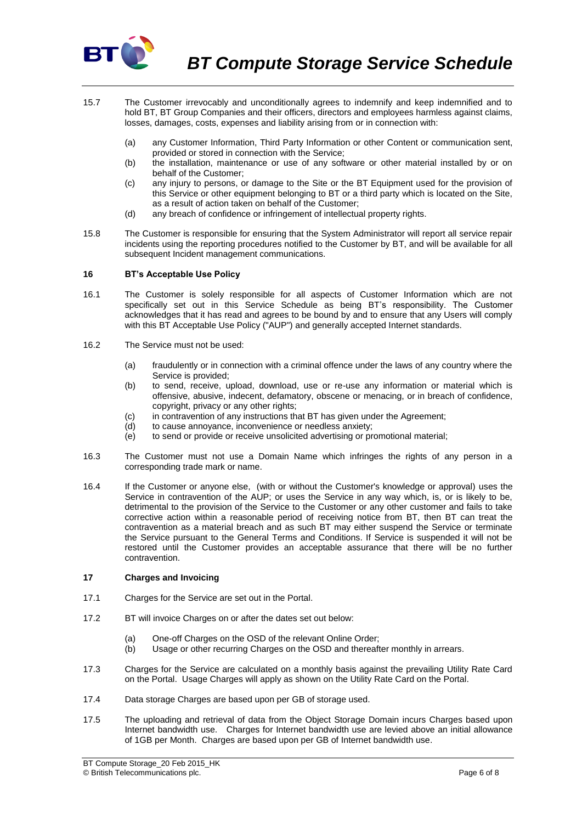

- 15.7 The Customer irrevocably and unconditionally agrees to indemnify and keep indemnified and to hold BT, BT Group Companies and their officers, directors and employees harmless against claims, losses, damages, costs, expenses and liability arising from or in connection with:
	- (a) any Customer Information, Third Party Information or other Content or communication sent, provided or stored in connection with the Service;
	- (b) the installation, maintenance or use of any software or other material installed by or on behalf of the Customer;
	- (c) any injury to persons, or damage to the Site or the BT Equipment used for the provision of this Service or other equipment belonging to BT or a third party which is located on the Site, as a result of action taken on behalf of the Customer;
	- (d) any breach of confidence or infringement of intellectual property rights.
- 15.8 The Customer is responsible for ensuring that the System Administrator will report all service repair incidents using the reporting procedures notified to the Customer by BT, and will be available for all subsequent Incident management communications.

## **16 BT's Acceptable Use Policy**

- 16.1 The Customer is solely responsible for all aspects of Customer Information which are not specifically set out in this Service Schedule as being BT's responsibility. The Customer acknowledges that it has read and agrees to be bound by and to ensure that any Users will comply with this BT Acceptable Use Policy ("AUP") and generally accepted Internet standards.
- 16.2 The Service must not be used:
	- (a) fraudulently or in connection with a criminal offence under the laws of any country where the Service is provided;
	- (b) to send, receive, upload, download, use or re-use any information or material which is offensive, abusive, indecent, defamatory, obscene or menacing, or in breach of confidence, copyright, privacy or any other rights;
	- (c) in contravention of any instructions that BT has given under the Agreement;
	- (d) to cause annoyance, inconvenience or needless anxiety;
	- $\overrightarrow{e}$  to send or provide or receive unsolicited advertising or promotional material;
- 16.3 The Customer must not use a Domain Name which infringes the rights of any person in a corresponding trade mark or name.
- 16.4 If the Customer or anyone else, (with or without the Customer's knowledge or approval) uses the Service in contravention of the AUP; or uses the Service in any way which, is, or is likely to be, detrimental to the provision of the Service to the Customer or any other customer and fails to take corrective action within a reasonable period of receiving notice from BT, then BT can treat the contravention as a material breach and as such BT may either suspend the Service or terminate the Service pursuant to the General Terms and Conditions. If Service is suspended it will not be restored until the Customer provides an acceptable assurance that there will be no further contravention.

### **17 Charges and Invoicing**

- 17.1 Charges for the Service are set out in the Portal.
- 17.2 BT will invoice Charges on or after the dates set out below:
	- (a) One-off Charges on the OSD of the relevant Online Order;
	- (b) Usage or other recurring Charges on the OSD and thereafter monthly in arrears.
- 17.3 Charges for the Service are calculated on a monthly basis against the prevailing Utility Rate Card on the Portal. Usage Charges will apply as shown on the Utility Rate Card on the Portal.
- 17.4 Data storage Charges are based upon per GB of storage used.
- 17.5 The uploading and retrieval of data from the Object Storage Domain incurs Charges based upon Internet bandwidth use. Charges for Internet bandwidth use are levied above an initial allowance of 1GB per Month. Charges are based upon per GB of Internet bandwidth use.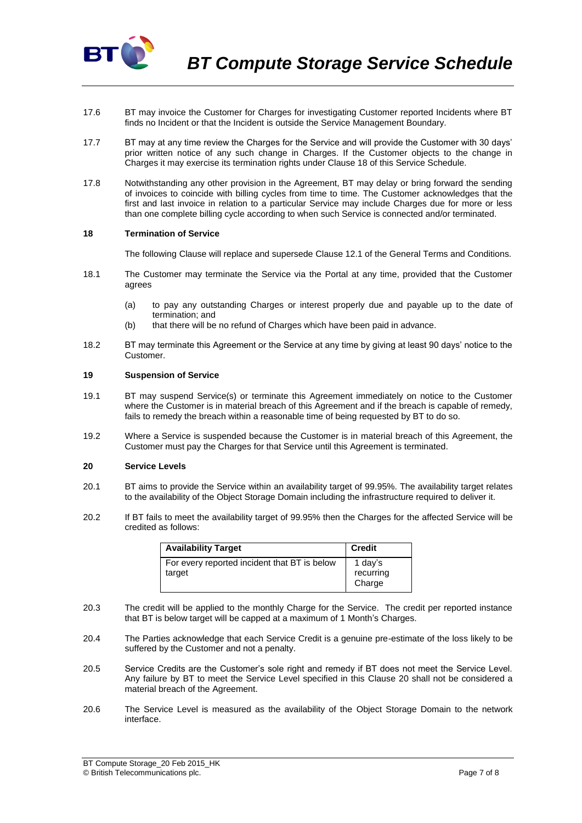

- 17.6 BT may invoice the Customer for Charges for investigating Customer reported Incidents where BT finds no Incident or that the Incident is outside the Service Management Boundary.
- 17.7 BT may at any time review the Charges for the Service and will provide the Customer with 30 days' prior written notice of any such change in Charges. If the Customer objects to the change in Charges it may exercise its termination rights under Clause 18 of this Service Schedule.
- 17.8 Notwithstanding any other provision in the Agreement, BT may delay or bring forward the sending of invoices to coincide with billing cycles from time to time. The Customer acknowledges that the first and last invoice in relation to a particular Service may include Charges due for more or less than one complete billing cycle according to when such Service is connected and/or terminated.

### **18 Termination of Service**

The following Clause will replace and supersede Clause 12.1 of the General Terms and Conditions.

- 18.1 The Customer may terminate the Service via the Portal at any time, provided that the Customer agrees
	- (a) to pay any outstanding Charges or interest properly due and payable up to the date of termination; and
	- (b) that there will be no refund of Charges which have been paid in advance.
- 18.2 BT may terminate this Agreement or the Service at any time by giving at least 90 days' notice to the Customer.

#### **19 Suspension of Service**

- 19.1 BT may suspend Service(s) or terminate this Agreement immediately on notice to the Customer where the Customer is in material breach of this Agreement and if the breach is capable of remedy, fails to remedy the breach within a reasonable time of being requested by BT to do so.
- 19.2 Where a Service is suspended because the Customer is in material breach of this Agreement, the Customer must pay the Charges for that Service until this Agreement is terminated.

## <span id="page-6-0"></span>**20 Service Levels**

- 20.1 BT aims to provide the Service within an availability target of 99.95%. The availability target relates to the availability of the Object Storage Domain including the infrastructure required to deliver it.
- 20.2 If BT fails to meet the availability target of 99.95% then the Charges for the affected Service will be credited as follows:

| <b>Availability Target</b>                             | <b>Credit</b>                  |
|--------------------------------------------------------|--------------------------------|
| For every reported incident that BT is below<br>target | 1 day's<br>recurring<br>Charge |

- 20.3 The credit will be applied to the monthly Charge for the Service. The credit per reported instance that BT is below target will be capped at a maximum of 1 Month's Charges.
- 20.4 The Parties acknowledge that each Service Credit is a genuine pre-estimate of the loss likely to be suffered by the Customer and not a penalty.
- 20.5 Service Credits are the Customer's sole right and remedy if BT does not meet the Service Level. Any failure by BT to meet the Service Level specified in this Clause [20](#page-6-0) shall not be considered a material breach of the Agreement.
- 20.6 The Service Level is measured as the availability of the Object Storage Domain to the network interface.

BT Compute Storage\_20 Feb 2015\_HK © British Telecommunications plc. Page 7 of 8